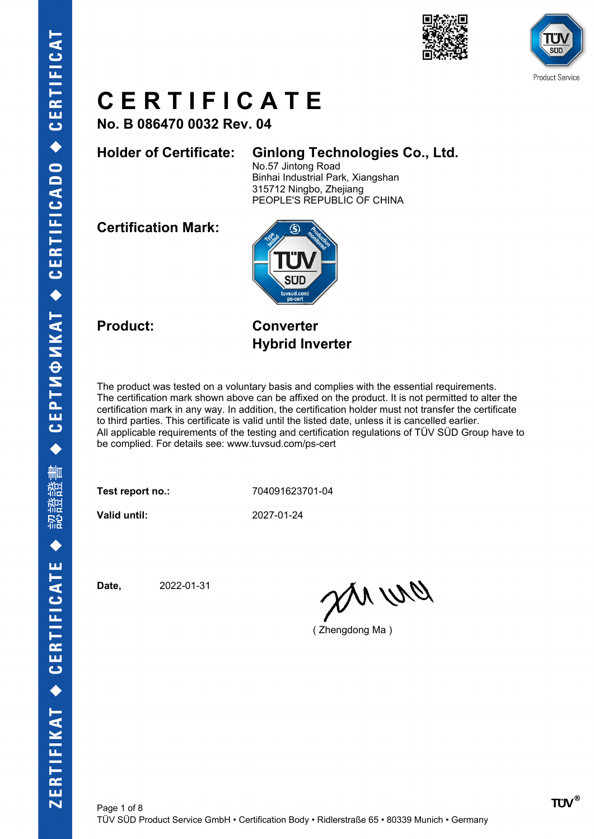



**No. B 086470 0032 Rev. 04**

#### **Holder of Certificate: Ginlong Technologies Co., Ltd.**

No.57 Jintong Road Binhai Industrial Park, Xiangshan 315712 Ningbo, Zhejiang PEOPLE'S REPUBLIC OF CHINA

**Certification Mark:**



**Product: Converter Hybrid Inverter**

The product was tested on a voluntary basis and complies with the essential requirements. The certification mark shown above can be affixed on the product. It is not permitted to alter the certification mark in any way. In addition, the certification holder must not transfer the certificate to third parties. This certificate is valid until the listed date, unless it is cancelled earlier. All applicable requirements of the testing and certification regulations of TÜV SÜD Group have to be complied. For details see: www.tuvsud.com/ps-cert

**Test report no.:** 704091623701-04

**Valid until:** 2027-01-24

**Date,** 2022-01-31

anua

( Zhengdong Ma )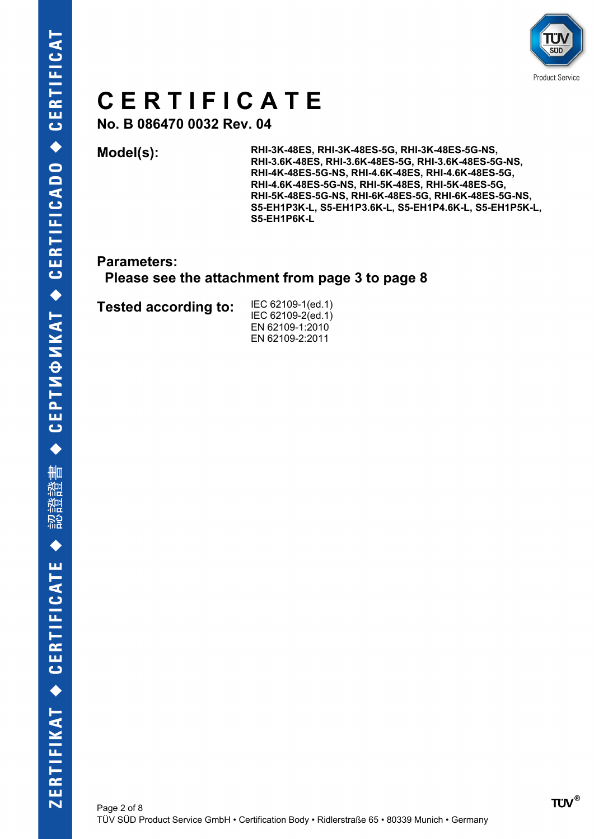

**No. B 086470 0032 Rev. 04**

**Model(s): RHI-3K-48ES, RHI-3K-48ES-5G, RHI-3K-48ES-5G-NS, RHI-3.6K-48ES, RHI-3.6K-48ES-5G, RHI-3.6K-48ES-5G-NS, RHI-4K-48ES-5G-NS, RHI-4.6K-48ES, RHI-4.6K-48ES-5G, RHI-4.6K-48ES-5G-NS, RHI-5K-48ES, RHI-5K-48ES-5G, RHI-5K-48ES-5G-NS, RHI-6K-48ES-5G, RHI-6K-48ES-5G-NS, S5-EH1P3K-L, S5-EH1P3.6K-L, S5-EH1P4.6K-L, S5-EH1P5K-L, S5-EH1P6K-L**

**Parameters:**

 **Please see the attachment from page 3 to page 8**

**Tested according to:** IEC 62109-1(ed.1)

IEC 62109-2(ed.1) EN 62109-1:2010 EN 62109-2:2011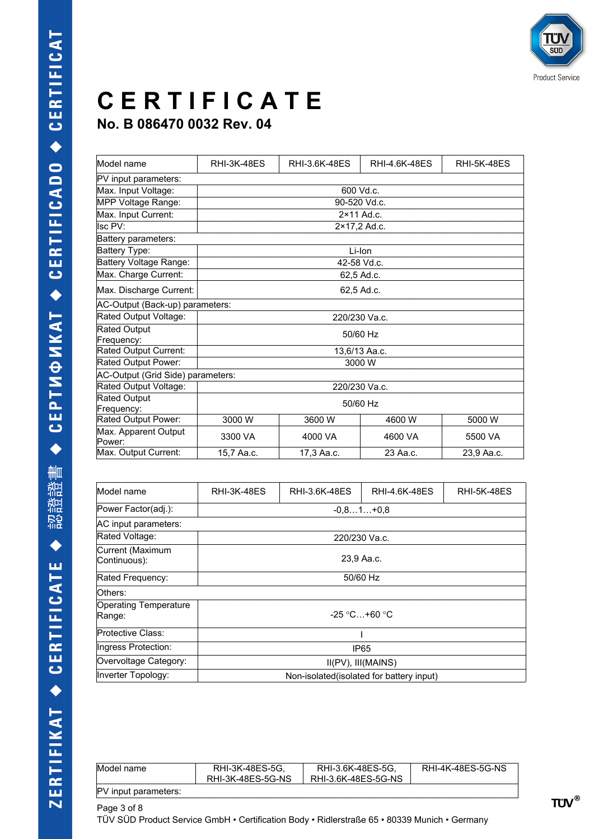| Model name                        | <b>RHI-3K-48ES</b> | RHI-3.6K-48ES | RHI-4.6K-48ES       | <b>RHI-5K-48ES</b> |
|-----------------------------------|--------------------|---------------|---------------------|--------------------|
| PV input parameters:              |                    |               |                     |                    |
| Max. Input Voltage:               |                    |               | 600 Vd.c.           |                    |
| MPP Voltage Range:                |                    |               | 90-520 Vd.c.        |                    |
| Max. Input Current:               |                    |               | $2 \times 11$ Ad.c. |                    |
| Isc PV:                           |                    |               | 2×17,2 Ad.c.        |                    |
| Battery parameters:               |                    |               |                     |                    |
| Battery Type:                     |                    |               | Li-Ion              |                    |
| Battery Voltage Range:            |                    |               | 42-58 Vd.c.         |                    |
| Max. Charge Current:              |                    |               | 62,5 Ad.c.          |                    |
| Max. Discharge Current:           |                    | 62,5 Ad.c.    |                     |                    |
| AC-Output (Back-up) parameters:   |                    |               |                     |                    |
| Rated Output Voltage:             | 220/230 Va.c.      |               |                     |                    |
| <b>Rated Output</b>               | 50/60 Hz           |               |                     |                    |
| Frequency:                        |                    |               |                     |                    |
| Rated Output Current:             | 13,6/13 Aa.c.      |               |                     |                    |
| Rated Output Power:               | 3000 W             |               |                     |                    |
| AC-Output (Grid Side) parameters: |                    |               |                     |                    |
| Rated Output Voltage:             | 220/230 Va.c.      |               |                     |                    |
| <b>Rated Output</b>               |                    |               |                     |                    |
| Frequency:                        | 50/60 Hz           |               |                     |                    |
| Rated Output Power:               | 3000 W             | 3600 W        | 4600 W              | 5000 W             |
| Max. Apparent Output<br>Power:    | 3300 VA            | 4000 VA       | 4600 VA             | 5500 VA            |
| Max. Output Current:              | 15,7 Aa.c.         | 17,3 Aa.c.    | 23 Aa.c.            | 23.9 Aa.c.         |

| Model name                             | <b>RHI-3K-48ES</b>                       | RHI-3.6K-48ES | RHI-4.6K-48ES | <b>RHI-5K-48ES</b> |
|----------------------------------------|------------------------------------------|---------------|---------------|--------------------|
| Power Factor(adj.):                    | $-0.81+0.8$                              |               |               |                    |
| AC input parameters:                   |                                          |               |               |                    |
| Rated Voltage:                         | 220/230 Va.c.                            |               |               |                    |
| Current (Maximum<br>Continuous):       | 23,9 Aa.c.                               |               |               |                    |
| Rated Frequency:                       | 50/60 Hz                                 |               |               |                    |
| Others:                                |                                          |               |               |                    |
| <b>Operating Temperature</b><br>Range: | $-25$ °C+60 °C                           |               |               |                    |
| Protective Class:                      |                                          |               |               |                    |
| Ingress Protection:                    | IP65                                     |               |               |                    |
| Overvoltage Category:                  | $II(PV)$ , $III(MAINS)$                  |               |               |                    |
| Inverter Topology:                     | Non-isolated(isolated for battery input) |               |               |                    |

| Model name           | RHI-3K-48ES-5G.<br>RHI-3K-48ES-5G-NS | RHI-3.6K-48ES-5G.<br>RHI-3.6K-48ES-5G-NS | RHI-4K-48ES-5G-NS |
|----------------------|--------------------------------------|------------------------------------------|-------------------|
| PV input parameters: |                                      |                                          |                   |
| Page 3 of 8          |                                      |                                          |                   |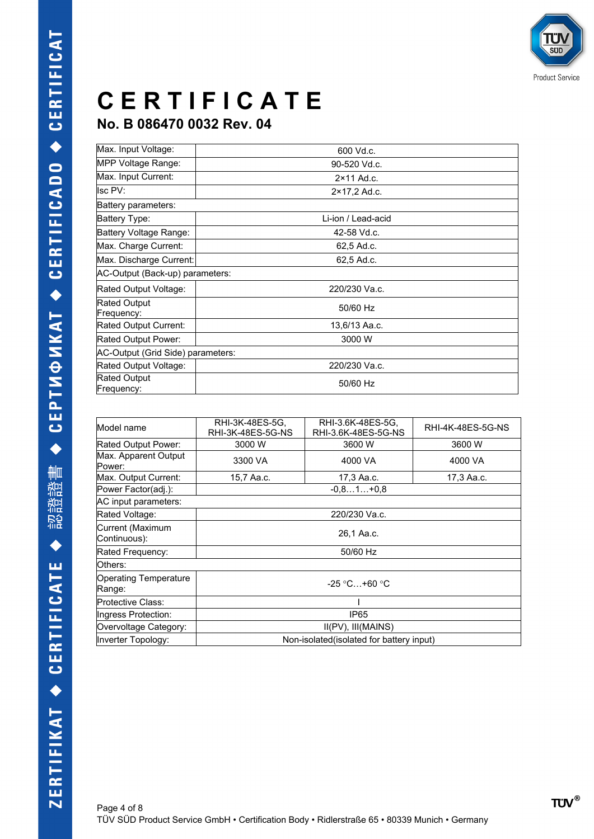

| Max. Input Voltage:               | 600 Vd.c.           |  |
|-----------------------------------|---------------------|--|
| MPP Voltage Range:                | 90-520 Vd.c.        |  |
| Max. Input Current:               | $2 \times 11$ Ad.c. |  |
| Isc PV:                           | 2×17,2 Ad.c.        |  |
| Battery parameters:               |                     |  |
| Battery Type:                     | Li-ion / Lead-acid  |  |
| Battery Voltage Range:            | 42-58 Vd.c.         |  |
| Max. Charge Current:              | 62,5 Ad.c.          |  |
| Max. Discharge Current:           | 62,5 Ad.c.          |  |
| AC-Output (Back-up) parameters:   |                     |  |
| Rated Output Voltage:             | 220/230 Va.c.       |  |
| <b>Rated Output</b><br>Frequency: | 50/60 Hz            |  |
| Rated Output Current:             | 13,6/13 Aa.c.       |  |
| Rated Output Power:               | 3000 W              |  |
| AC-Output (Grid Side) parameters: |                     |  |
| Rated Output Voltage:             | 220/230 Va.c.       |  |
| <b>Rated Output</b><br>Frequency: | 50/60 Hz            |  |

| RHI-3K-48ES-5G,<br>RHI-3K-48ES-5G-NS      | RHI-3.6K-48ES-5G,<br>RHI-3.6K-48ES-5G-NS | RHI-4K-48ES-5G-NS |
|-------------------------------------------|------------------------------------------|-------------------|
| 3000 W                                    | 3600 W                                   | 3600 W            |
| 3300 VA                                   | 4000 VA                                  | 4000 VA           |
| 15,7 Aa.c.                                | 17,3 Aa.c.                               | 17,3 Aa.c.        |
|                                           | $-0.81+0.8$                              |                   |
|                                           |                                          |                   |
| 220/230 Va.c.                             |                                          |                   |
| 26.1 Aa.c.                                |                                          |                   |
| 50/60 Hz                                  |                                          |                   |
|                                           |                                          |                   |
| $-25$ °C+60 °C                            |                                          |                   |
|                                           |                                          |                   |
| IP <sub>65</sub>                          |                                          |                   |
| $II(PV)$ , $III(MAINS)$                   |                                          |                   |
| Non-isolated (isolated for battery input) |                                          |                   |
|                                           |                                          |                   |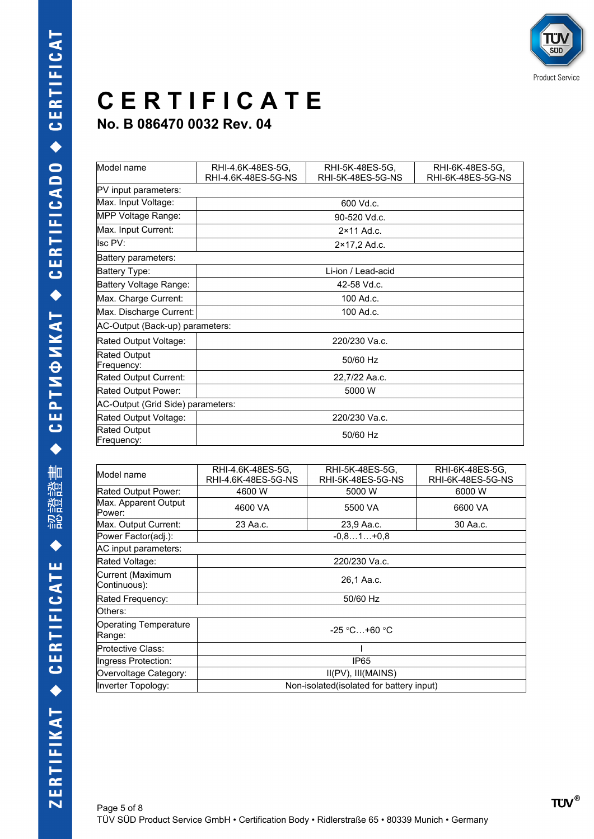| Model name                        | RHI-4.6K-48ES-5G,               | RHI-5K-48ES-5G,     | RHI-6K-48ES-5G,   |
|-----------------------------------|---------------------------------|---------------------|-------------------|
|                                   | RHI-4.6K-48ES-5G-NS             | RHI-5K-48ES-5G-NS   | RHI-6K-48ES-5G-NS |
| PV input parameters:              |                                 |                     |                   |
| Max. Input Voltage:               |                                 | 600 Vd.c.           |                   |
| MPP Voltage Range:                |                                 | 90-520 Vd.c.        |                   |
| Max. Input Current:               |                                 | $2 \times 11$ Ad.c. |                   |
| lsc PV:                           |                                 | 2×17,2 Ad.c.        |                   |
| Battery parameters:               |                                 |                     |                   |
| Battery Type:                     |                                 | Li-ion / Lead-acid  |                   |
| Battery Voltage Range:            | 42-58 Vd.c.                     |                     |                   |
| Max. Charge Current:              | 100 Ad.c.                       |                     |                   |
| Max. Discharge Current:           | 100 Ad.c.                       |                     |                   |
|                                   | AC-Output (Back-up) parameters: |                     |                   |
| Rated Output Voltage:             | 220/230 Va.c.                   |                     |                   |
| <b>Rated Output</b><br>Frequency: | 50/60 Hz                        |                     |                   |
| Rated Output Current:             | 22,7/22 Aa.c.                   |                     |                   |
| Rated Output Power:               | 5000 W                          |                     |                   |
| AC-Output (Grid Side) parameters: |                                 |                     |                   |
| Rated Output Voltage:             | 220/230 Va.c.                   |                     |                   |
| Rated Output<br>Frequency:        | 50/60 Hz                        |                     |                   |

| RHI-4.6K-48ES-5G,                         | RHI-5K-48ES-5G,<br>RHI-5K-48ES-5G-NS | RHI-6K-48ES-5G,<br>RHI-6K-48ES-5G-NS |
|-------------------------------------------|--------------------------------------|--------------------------------------|
| 4600 W                                    | 5000 W                               | 6000 W                               |
| 4600 VA                                   | 5500 VA                              | 6600 VA                              |
| 23 Aa.c.                                  | 23,9 Aa.c.                           | 30 Aa.c.                             |
|                                           | $-0.81+0.8$                          |                                      |
|                                           |                                      |                                      |
| 220/230 Va.c.                             |                                      |                                      |
| 26,1 Aa.c.                                |                                      |                                      |
| 50/60 Hz                                  |                                      |                                      |
|                                           |                                      |                                      |
| $-25$ °C +60 °C                           |                                      |                                      |
|                                           |                                      |                                      |
| IP <sub>65</sub>                          |                                      |                                      |
| $II(PV)$ , $III(MAINS)$                   |                                      |                                      |
| Non-isolated (isolated for battery input) |                                      |                                      |
|                                           | RHI-4.6K-48ES-5G-NS                  |                                      |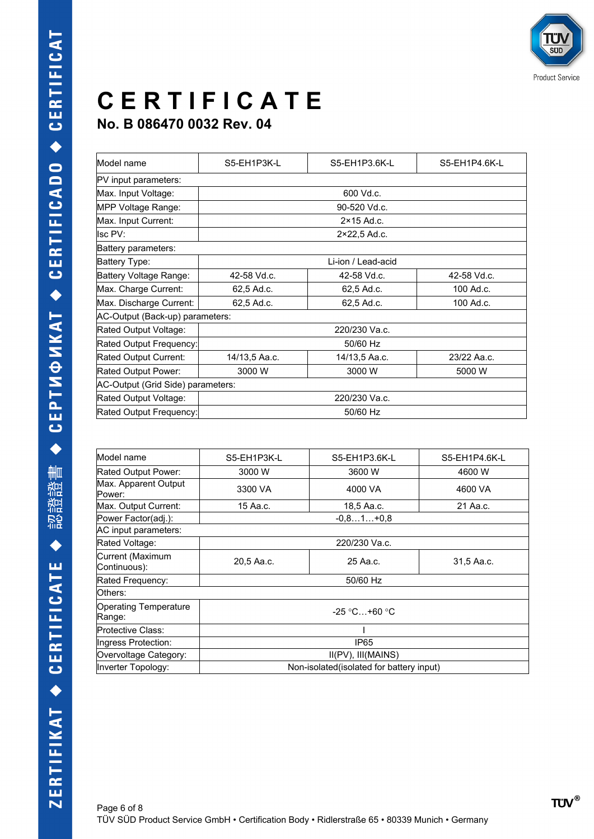| Model name                        | S5-EH1P3K-L                           | S5-EH1P3.6K-L       | S5-EH1P4.6K-L |
|-----------------------------------|---------------------------------------|---------------------|---------------|
| PV input parameters:              |                                       |                     |               |
| Max. Input Voltage:               | 600 Vd.c.                             |                     |               |
| MPP Voltage Range:                |                                       | 90-520 Vd.c.        |               |
| Max. Input Current:               |                                       | $2 \times 15$ Ad.c. |               |
| Isc PV:                           |                                       | 2×22,5 Ad.c.        |               |
| Battery parameters:               |                                       |                     |               |
| Battery Type:                     | Li-ion / Lead-acid                    |                     |               |
| Battery Voltage Range:            | 42-58 Vd.c.                           | 42-58 Vd.c.         | 42-58 Vd.c.   |
| Max. Charge Current:              | 62,5 Ad.c.                            | 62,5 Ad.c.          | 100 Ad.c.     |
| Max. Discharge Current:           | 62,5 Ad.c.<br>62,5 Ad.c.<br>100 Ad.c. |                     |               |
| AC-Output (Back-up) parameters:   |                                       |                     |               |
| Rated Output Voltage:             | 220/230 Va.c.                         |                     |               |
| Rated Output Frequency:           | 50/60 Hz                              |                     |               |
| Rated Output Current:             | 14/13,5 Aa.c.                         | 14/13,5 Aa.c.       | 23/22 Aa.c.   |
| Rated Output Power:               | 3000 W                                | 3000 W              | 5000 W        |
| AC-Output (Grid Side) parameters: |                                       |                     |               |
| Rated Output Voltage:             | 220/230 Va.c.                         |                     |               |
| Rated Output Frequency:           | 50/60 Hz                              |                     |               |
|                                   |                                       |                     |               |

| Model name                             | S5-EH1P3K-L                               | S5-EH1P3.6K-L | S5-EH1P4.6K-L |
|----------------------------------------|-------------------------------------------|---------------|---------------|
| Rated Output Power:                    | 3000 W                                    | 3600 W        | 4600 W        |
| Max. Apparent Output<br>Power:         | 3300 VA                                   | 4000 VA       | 4600 VA       |
| Max. Output Current:                   | 15 Aa.c.                                  | 18,5 Aa.c.    | 21 Aa.c.      |
| Power Factor(adj.):                    |                                           | $-0.81+0.8$   |               |
| AC input parameters:                   |                                           |               |               |
| Rated Voltage:                         | 220/230 Va.c.                             |               |               |
| Current (Maximum<br>Continuous):       | 20,5 Aa.c.                                | 25 Aa.c.      | 31,5 Aa.c.    |
| Rated Frequency:                       | 50/60 Hz                                  |               |               |
| Others:                                |                                           |               |               |
| <b>Operating Temperature</b><br>Range: | $-25$ °C +60 °C                           |               |               |
| Protective Class:                      |                                           |               |               |
| Ingress Protection:                    | IP65                                      |               |               |
| Overvoltage Category:                  | II(PV), III(MAINS)                        |               |               |
| Inverter Topology:                     | Non-isolated (isolated for battery input) |               |               |
|                                        |                                           |               |               |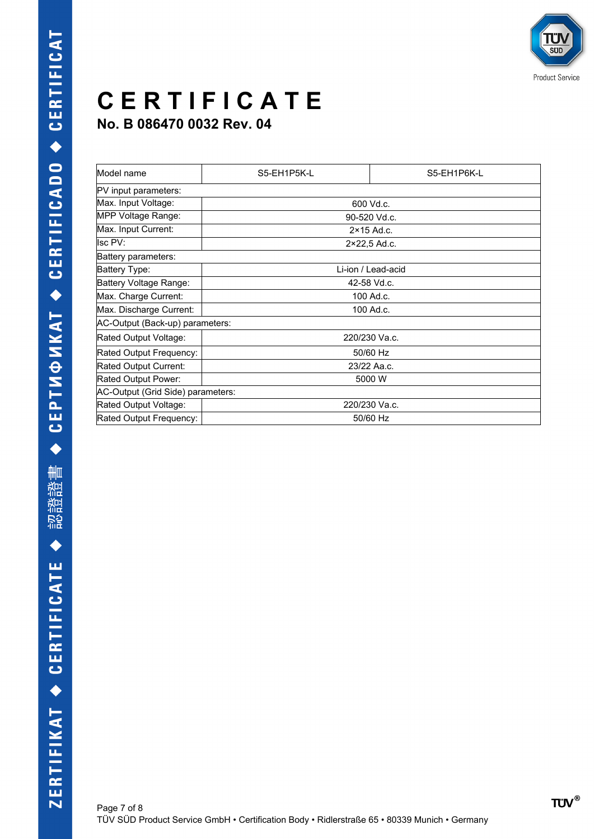| Model name                        | S5-EH1P5K-L   | S5-EH1P6K-L         |  |
|-----------------------------------|---------------|---------------------|--|
| PV input parameters:              |               |                     |  |
| Max. Input Voltage:               |               | 600 Vd.c.           |  |
| MPP Voltage Range:                |               | 90-520 Vd.c.        |  |
| Max. Input Current:               |               | $2 \times 15$ Ad.c. |  |
| Isc PV:                           |               | 2×22,5 Ad.c.        |  |
| Battery parameters:               |               |                     |  |
| Battery Type:                     |               | Li-ion / Lead-acid  |  |
| Battery Voltage Range:            | 42-58 Vd.c.   |                     |  |
| Max. Charge Current:              | 100 Ad.c.     |                     |  |
| Max. Discharge Current:           | 100 Ad.c.     |                     |  |
| AC-Output (Back-up) parameters:   |               |                     |  |
| Rated Output Voltage:             | 220/230 Va.c. |                     |  |
| Rated Output Frequency:           | 50/60 Hz      |                     |  |
| Rated Output Current:             | 23/22 Aa.c.   |                     |  |
| Rated Output Power:               | 5000 W        |                     |  |
| AC-Output (Grid Side) parameters: |               |                     |  |
| Rated Output Voltage:             | 220/230 Va.c. |                     |  |
| Rated Output Frequency:           | 50/60 Hz      |                     |  |